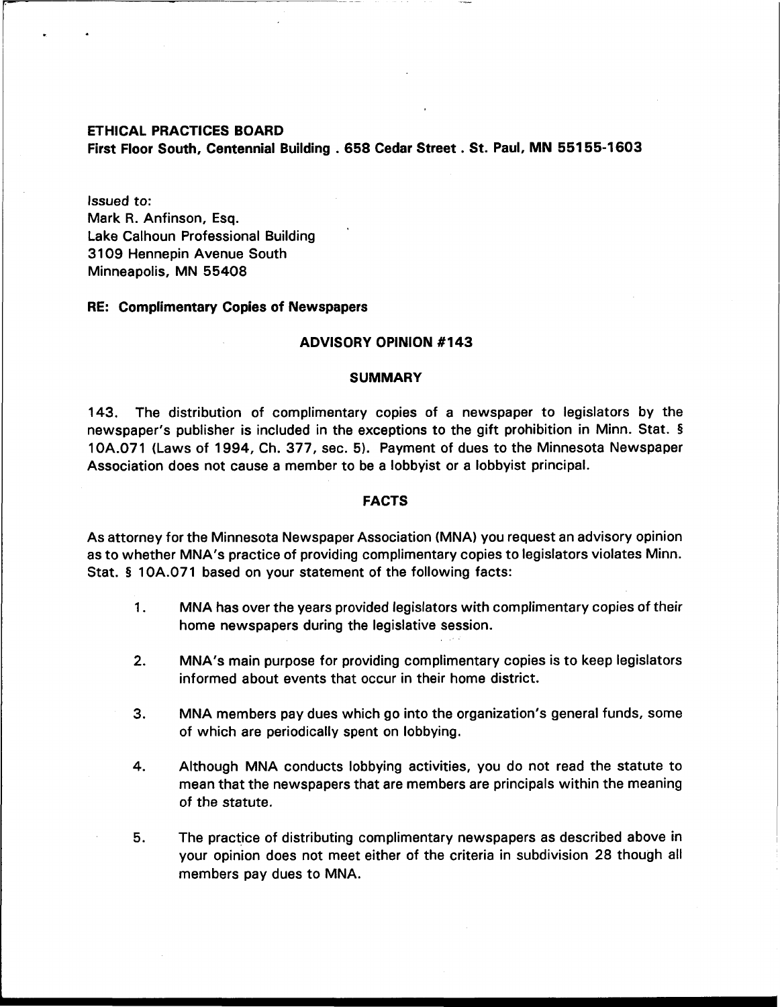#### ETHICAL PRACTICES BOARD

First Floor South, Centennial Building . 658 Cedar Street . St. Paul, MN 55155-1603

Issued to: Mark R. Anfinson, Esq. Lake Calhoun Professional Building 31 09 Hennepin Avenue South Minneapolis, MN 55408

# RE: Complimentary Copies of Newspapers

### ADVISORY OPINION **#I43**

#### SUMMARY

143. The distribution of complimentary copies of a newspaper to legislators by the newspaper's publisher is included in the exceptions to the gift prohibition in Minn. Stat. **<sup>5</sup>** 10A.071 (Laws of 1994, Ch. 377, sec. 5). Payment of dues to the Minnesota Newspaper Association does not cause a member to be a lobbyist or a lobbyist principal.

#### FACTS

As attorney for the Minnesota Newspaper Association (MNA) you request an advisory opinion as to whether MNA's practice of providing complimentary copies to legislators violates Minn. Stat. **5** 10A.071 based on your statement of the following facts:

- **1.** MNA has over the years provided legislators with complimentary copies of their home newspapers during the legislative session.
- **2.** MNA's main purpose for providing complimentary copies is to keep legislators informed about events that occur in their home district.
- 3. MNA members pay dues which go into the organization's general funds, some of which are periodically spent on lobbying.
- 4. Although MNA conducts lobbying activities, you do not read the statute to mean that the newspapers that are members are principals within the meaning of the statute.
- **5.** The practice of distributing complimentary newspapers as described above in your opinion does not meet either of the criteria in subdivision 28 though all members pay dues to MNA.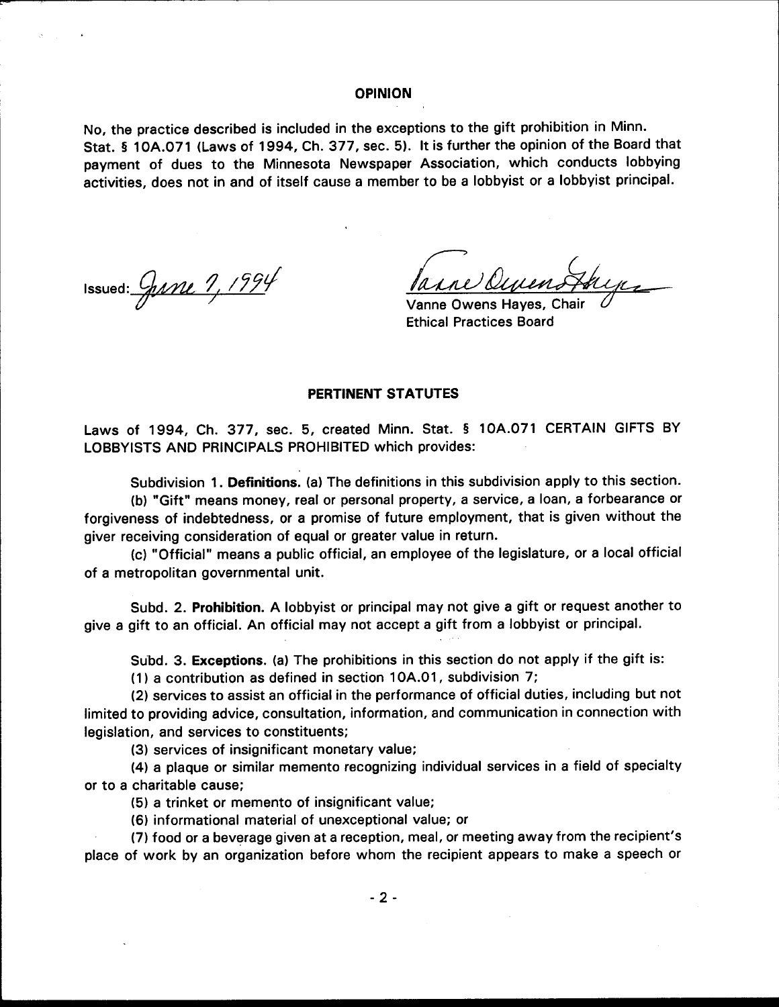### **OPINION**

No, the practice described is included in the exceptions to the gift prohibition in Minn. Stat. § 10A.071 (Laws of 1994, Ch. 377, sec. 5). It is further the opinion of the Board that payment of dues to the Minnesota Newspaper Association, which conducts lobbying activities, does not in and of itself cause a member to be a lobbyist or a lobbyist principal.

Issued:  $G$ ane  $9,1994$ 

larne Ocum

Vanne Owens Hayes, Chai **Ethical Practices Board** 

### PERTINENT STATUTES

Laws of 1994, Ch. 377, sec. 5, created Minn. Stat. § 10A.071 CERTAIN GIFTS BY LOBBYISTS AND PRINCIPALS PROHIBITED which provides:

Subdivision 1. Definitions. (a) The definitions in this subdivision apply to this section. (b) "Gift" means money, real or personal property, a service, a loan, a forbearance or forgiveness of indebtedness, or a promise of future employment, that is given without the giver receiving consideration of equal or greater value in return.

(c) "Official" means a public official, an employee of the legislature, or a local official of a metropolitan governmental unit.

Subd. 2. Prohibition. A lobbyist or principal may not give a gift or request another to give a gift to an official. An official may not accept a gift from a lobbyist or principal.

Subd. 3. Exceptions. (a) The prohibitions in this section do not apply if the gift is:

(1) a contribution as defined in section 10A.01, subdivision 7;

(2) services to assist an official in the performance of official duties, including but not limited to providing advice, consultation, information, and communication in connection with legislation, and services to constituents;

(3) services of insignificant monetary value;

(4) a plaque or similar memento recognizing individual services in a field of specialty or to a charitable cause;

(5) a trinket or memento of insignificant value;

(6) informational material of unexceptional value; or

(7) food or a beverage given at a reception, meal, or meeting away from the recipient's place of work by an organization before whom the recipient appears to make a speech or